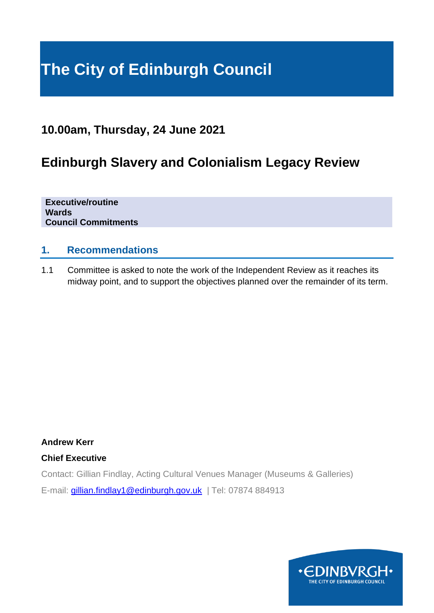# **The City of Edinburgh Council**

# **10.00am, Thursday, 24 June 2021**

# **Edinburgh Slavery and Colonialism Legacy Review**

**Executive/routine Wards Council Commitments**

#### **1. Recommendations**

1.1 Committee is asked to note the work of the Independent Review as it reaches its midway point, and to support the objectives planned over the remainder of its term.

**Andrew Kerr**

#### **Chief Executive**

Contact: Gillian Findlay, Acting Cultural Venues Manager (Museums & Galleries) E-mail: [gillian.findlay1@edinburgh.gov.uk](mailto:gillian.findlay1@edinburgh.gov.uk) | Tel: 07874 884913

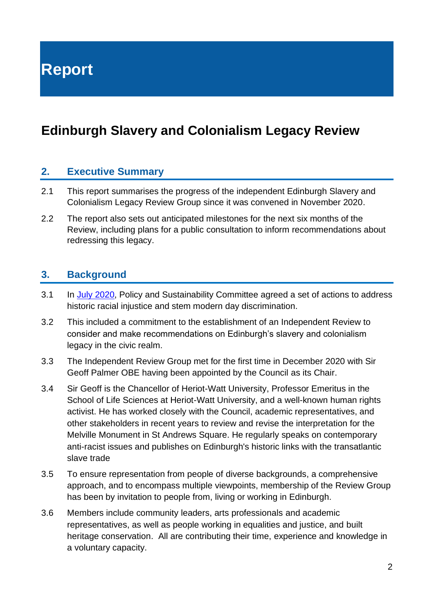**Report**

# **Edinburgh Slavery and Colonialism Legacy Review**

#### **2. Executive Summary**

- 2.1 This report summarises the progress of the independent Edinburgh Slavery and Colonialism Legacy Review Group since it was convened in November 2020.
- 2.2 The report also sets out anticipated milestones for the next six months of the Review, including plans for a public consultation to inform recommendations about redressing this legacy.

#### **3. Background**

- 3.1 In [July 2020,](https://democracy.edinburgh.gov.uk/ieListDocuments.aspx?CId=135&MId=5516&Ver=4) Policy and Sustainability Committee agreed a set of actions to address historic racial injustice and stem modern day discrimination.
- 3.2 This included a commitment to the establishment of an Independent Review to consider and make recommendations on Edinburgh's slavery and colonialism legacy in the civic realm.
- 3.3 The Independent Review Group met for the first time in December 2020 with Sir Geoff Palmer OBE having been appointed by the Council as its Chair.
- 3.4 Sir Geoff is the Chancellor of Heriot-Watt University, Professor Emeritus in the School of Life Sciences at Heriot-Watt University, and a well-known human rights activist. He has worked closely with the Council, academic representatives, and other stakeholders in recent years to review and revise the interpretation for the Melville Monument in St Andrews Square. He regularly speaks on contemporary anti-racist issues and publishes on Edinburgh's historic links with the transatlantic slave trade
- 3.5 To ensure representation from people of diverse backgrounds, a comprehensive approach, and to encompass multiple viewpoints, membership of the Review Group has been by invitation to people from, living or working in Edinburgh.
- 3.6 Members include community leaders, arts professionals and academic representatives, as well as people working in equalities and justice, and built heritage conservation. All are contributing their time, experience and knowledge in a voluntary capacity.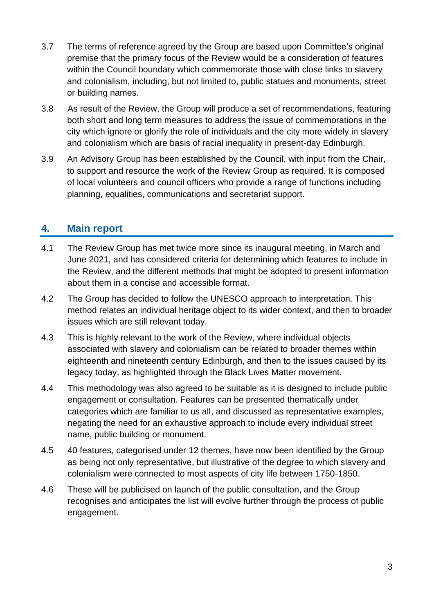- 3.7 The terms of reference agreed by the Group are based upon Committee's original premise that the primary focus of the Review would be a consideration of features within the Council boundary which commemorate those with close links to slavery and colonialism, including, but not limited to, public statues and monuments, street or building names.
- 3.8 As result of the Review, the Group will produce a set of recommendations, featuring both short and long term measures to address the issue of commemorations in the city which ignore or glorify the role of individuals and the city more widely in slavery and colonialism which are basis of racial inequality in present-day Edinburgh.
- 3.9 An Advisory Group has been established by the Council, with input from the Chair, to support and resource the work of the Review Group as required. It is composed of local volunteers and council officers who provide a range of functions including planning, equalities, communications and secretariat support.

## **4. Main report**

- 4.1 The Review Group has met twice more since its inaugural meeting, in March and June 2021, and has considered criteria for determining which features to include in the Review, and the different methods that might be adopted to present information about them in a concise and accessible format.
- 4.2 The Group has decided to follow the UNESCO approach to interpretation. This method relates an individual heritage object to its wider context, and then to broader issues which are still relevant today.
- 4.3 This is highly relevant to the work of the Review, where individual objects associated with slavery and colonialism can be related to broader themes within eighteenth and nineteenth century Edinburgh, and then to the issues caused by its legacy today, as highlighted through the Black Lives Matter movement.
- 4.4 This methodology was also agreed to be suitable as it is designed to include public engagement or consultation. Features can be presented thematically under categories which are familiar to us all, and discussed as representative examples, negating the need for an exhaustive approach to include every individual street name, public building or monument.
- 4.5 40 features, categorised under 12 themes, have now been identified by the Group as being not only representative, but illustrative of the degree to which slavery and colonialism were connected to most aspects of city life between 1750-1850.
- 4.6 These will be publicised on launch of the public consultation, and the Group recognises and anticipates the list will evolve further through the process of public engagement.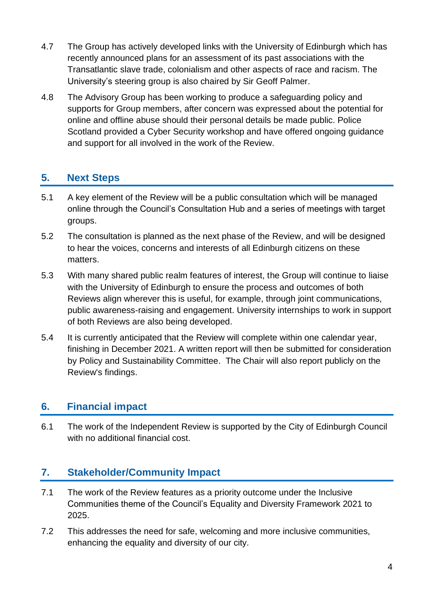- 4.7 The Group has actively developed links with the University of Edinburgh which has recently announced plans for an assessment of its past associations with the Transatlantic slave trade, colonialism and other aspects of race and racism. The University's steering group is also chaired by Sir Geoff Palmer.
- 4.8 The Advisory Group has been working to produce a safeguarding policy and supports for Group members, after concern was expressed about the potential for online and offline abuse should their personal details be made public. Police Scotland provided a Cyber Security workshop and have offered ongoing guidance and support for all involved in the work of the Review.

# **5. Next Steps**

- 5.1 A key element of the Review will be a public consultation which will be managed online through the Council's Consultation Hub and a series of meetings with target groups.
- 5.2 The consultation is planned as the next phase of the Review, and will be designed to hear the voices, concerns and interests of all Edinburgh citizens on these matters.
- 5.3 With many shared public realm features of interest, the Group will continue to liaise with the University of Edinburgh to ensure the process and outcomes of both Reviews align wherever this is useful, for example, through joint communications, public awareness-raising and engagement. University internships to work in support of both Reviews are also being developed.
- 5.4 It is currently anticipated that the Review will complete within one calendar year, finishing in December 2021. A written report will then be submitted for consideration by Policy and Sustainability Committee. The Chair will also report publicly on the Review's findings.

## **6. Financial impact**

6.1 The work of the Independent Review is supported by the City of Edinburgh Council with no additional financial cost.

## **7. Stakeholder/Community Impact**

- 7.1 The work of the Review features as a priority outcome under the Inclusive Communities theme of the Council's Equality and Diversity Framework 2021 to 2025.
- 7.2 This addresses the need for safe, welcoming and more inclusive communities, enhancing the equality and diversity of our city.